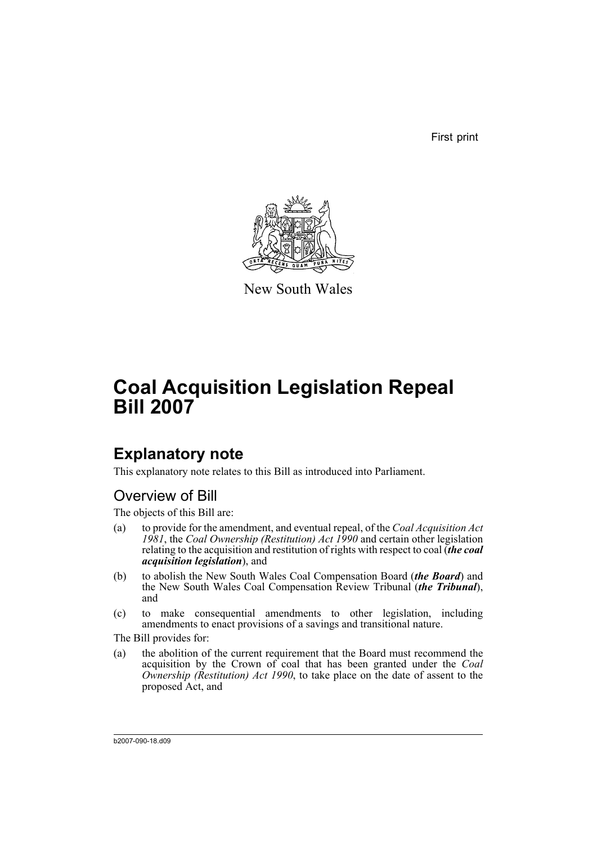First print



New South Wales

# **Coal Acquisition Legislation Repeal Bill 2007**

# **Explanatory note**

This explanatory note relates to this Bill as introduced into Parliament.

## Overview of Bill

The objects of this Bill are:

- (a) to provide for the amendment, and eventual repeal, of the *Coal Acquisition Act 1981*, the *Coal Ownership (Restitution) Act 1990* and certain other legislation relating to the acquisition and restitution of rights with respect to coal (*the coal acquisition legislation*), and
- (b) to abolish the New South Wales Coal Compensation Board (*the Board*) and the New South Wales Coal Compensation Review Tribunal (*the Tribunal*), and
- (c) to make consequential amendments to other legislation, including amendments to enact provisions of a savings and transitional nature.

The Bill provides for:

(a) the abolition of the current requirement that the Board must recommend the acquisition by the Crown of coal that has been granted under the *Coal Ownership (Restitution) Act 1990*, to take place on the date of assent to the proposed Act, and

b2007-090-18.d09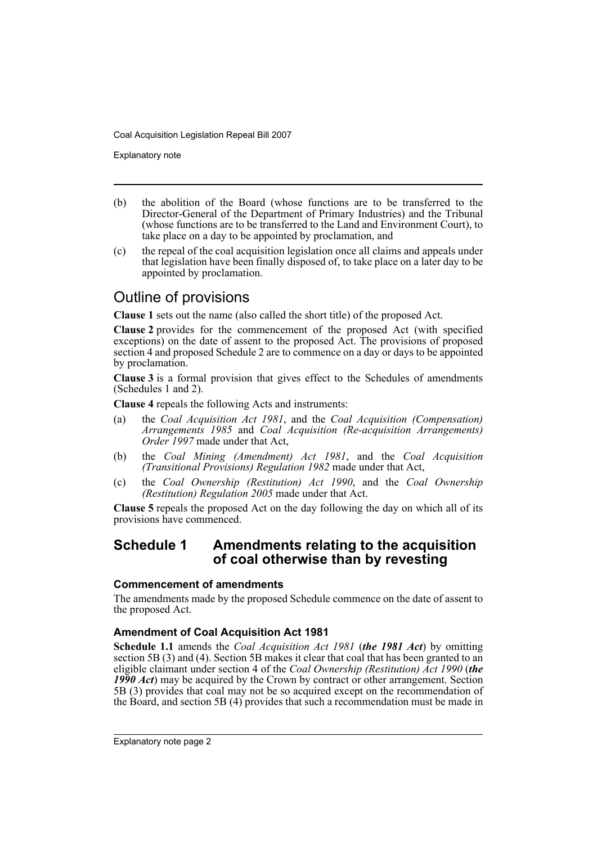Explanatory note

- (b) the abolition of the Board (whose functions are to be transferred to the Director-General of the Department of Primary Industries) and the Tribunal (whose functions are to be transferred to the Land and Environment Court), to take place on a day to be appointed by proclamation, and
- (c) the repeal of the coal acquisition legislation once all claims and appeals under that legislation have been finally disposed of, to take place on a later day to be appointed by proclamation.

## Outline of provisions

**Clause 1** sets out the name (also called the short title) of the proposed Act.

**Clause 2** provides for the commencement of the proposed Act (with specified exceptions) on the date of assent to the proposed Act. The provisions of proposed section 4 and proposed Schedule 2 are to commence on a day or days to be appointed by proclamation.

**Clause 3** is a formal provision that gives effect to the Schedules of amendments (Schedules 1 and 2).

**Clause 4** repeals the following Acts and instruments:

- (a) the *Coal Acquisition Act 1981*, and the *Coal Acquisition (Compensation) Arrangements 1985* and *Coal Acquisition (Re-acquisition Arrangements) Order 1997* made under that Act,
- (b) the *Coal Mining (Amendment) Act 1981*, and the *Coal Acquisition (Transitional Provisions) Regulation 1982* made under that Act,
- (c) the *Coal Ownership (Restitution) Act 1990*, and the *Coal Ownership (Restitution) Regulation 2005* made under that Act.

**Clause 5** repeals the proposed Act on the day following the day on which all of its provisions have commenced.

## **Schedule 1 Amendments relating to the acquisition of coal otherwise than by revesting**

### **Commencement of amendments**

The amendments made by the proposed Schedule commence on the date of assent to the proposed Act.

## **Amendment of Coal Acquisition Act 1981**

**Schedule 1.1** amends the *Coal Acquisition Act 1981* (*the 1981 Act*) by omitting section 5B (3) and (4). Section 5B makes it clear that coal that has been granted to an eligible claimant under section 4 of the *Coal Ownership (Restitution) Act 1990* (*the 1990 Act*) may be acquired by the Crown by contract or other arrangement. Section 5B (3) provides that coal may not be so acquired except on the recommendation of the Board, and section 5B (4) provides that such a recommendation must be made in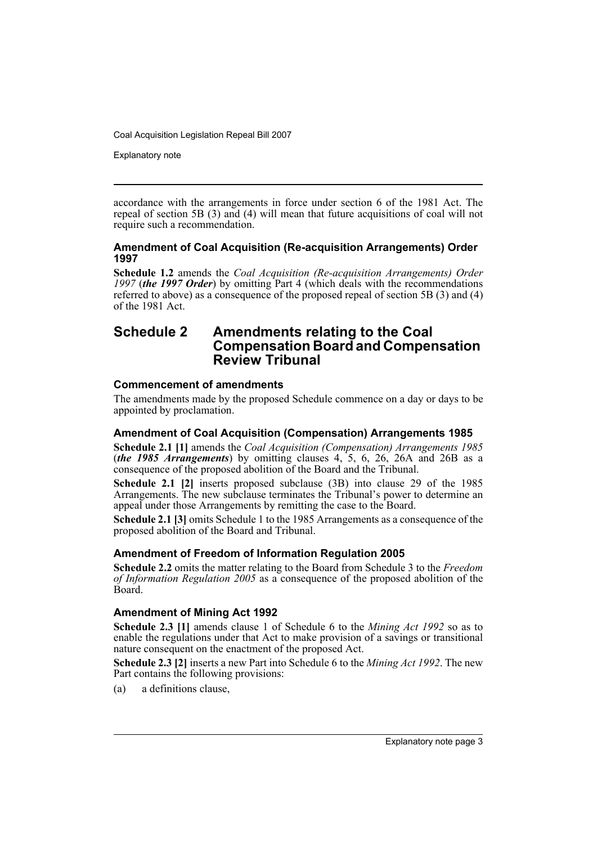Explanatory note

accordance with the arrangements in force under section 6 of the 1981 Act. The repeal of section 5B (3) and (4) will mean that future acquisitions of coal will not require such a recommendation.

### **Amendment of Coal Acquisition (Re-acquisition Arrangements) Order 1997**

**Schedule 1.2** amends the *Coal Acquisition (Re-acquisition Arrangements) Order 1997* (*the 1997 Order*) by omitting Part 4 (which deals with the recommendations referred to above) as a consequence of the proposed repeal of section 5B (3) and (4) of the 1981 Act.

## **Schedule 2 Amendments relating to the Coal Compensation Board and Compensation Review Tribunal**

## **Commencement of amendments**

The amendments made by the proposed Schedule commence on a day or days to be appointed by proclamation.

### **Amendment of Coal Acquisition (Compensation) Arrangements 1985**

**Schedule 2.1 [1]** amends the *Coal Acquisition (Compensation) Arrangements 1985* (*the 1985 Arrangements*) by omitting clauses 4, 5, 6, 26, 26A and 26B as a consequence of the proposed abolition of the Board and the Tribunal.

**Schedule 2.1 [2]** inserts proposed subclause (3B) into clause 29 of the 1985 Arrangements. The new subclause terminates the Tribunal's power to determine an appeal under those Arrangements by remitting the case to the Board.

**Schedule 2.1 [3]** omits Schedule 1 to the 1985 Arrangements as a consequence of the proposed abolition of the Board and Tribunal.

## **Amendment of Freedom of Information Regulation 2005**

**Schedule 2.2** omits the matter relating to the Board from Schedule 3 to the *Freedom of Information Regulation 2005* as a consequence of the proposed abolition of the Board.

## **Amendment of Mining Act 1992**

**Schedule 2.3 [1]** amends clause 1 of Schedule 6 to the *Mining Act 1992* so as to enable the regulations under that Act to make provision of a savings or transitional nature consequent on the enactment of the proposed Act.

**Schedule 2.3 [2]** inserts a new Part into Schedule 6 to the *Mining Act 1992*. The new Part contains the following provisions:

(a) a definitions clause,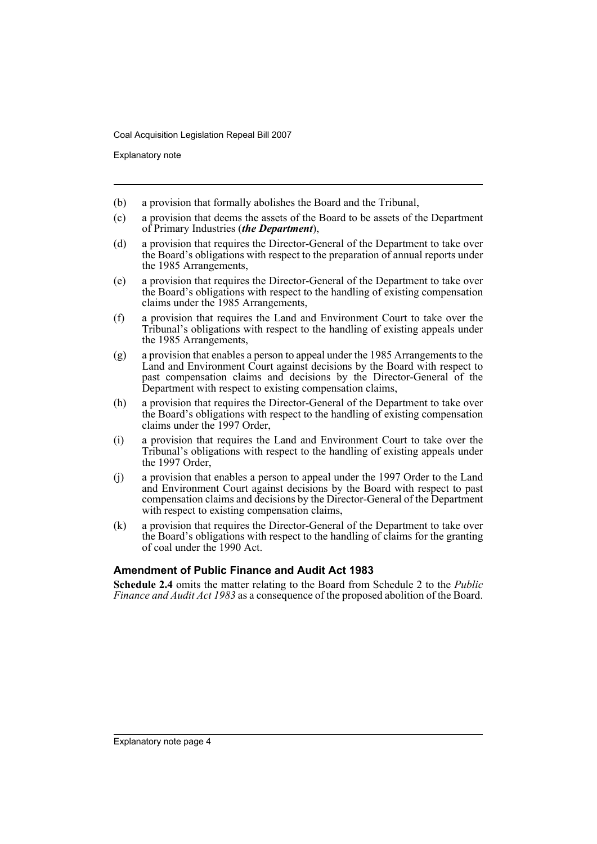Explanatory note

- (b) a provision that formally abolishes the Board and the Tribunal,
- (c) a provision that deems the assets of the Board to be assets of the Department of Primary Industries (*the Department*),
- (d) a provision that requires the Director-General of the Department to take over the Board's obligations with respect to the preparation of annual reports under the 1985 Arrangements,
- (e) a provision that requires the Director-General of the Department to take over the Board's obligations with respect to the handling of existing compensation claims under the 1985 Arrangements,
- (f) a provision that requires the Land and Environment Court to take over the Tribunal's obligations with respect to the handling of existing appeals under the 1985 Arrangements,
- (g) a provision that enables a person to appeal under the 1985 Arrangements to the Land and Environment Court against decisions by the Board with respect to past compensation claims and decisions by the Director-General of the Department with respect to existing compensation claims,
- (h) a provision that requires the Director-General of the Department to take over the Board's obligations with respect to the handling of existing compensation claims under the 1997 Order,
- (i) a provision that requires the Land and Environment Court to take over the Tribunal's obligations with respect to the handling of existing appeals under the 1997 Order,
- (j) a provision that enables a person to appeal under the 1997 Order to the Land and Environment Court against decisions by the Board with respect to past compensation claims and decisions by the Director-General of the Department with respect to existing compensation claims,
- (k) a provision that requires the Director-General of the Department to take over the Board's obligations with respect to the handling of claims for the granting of coal under the 1990 Act.

### **Amendment of Public Finance and Audit Act 1983**

**Schedule 2.4** omits the matter relating to the Board from Schedule 2 to the *Public Finance and Audit Act 1983* as a consequence of the proposed abolition of the Board.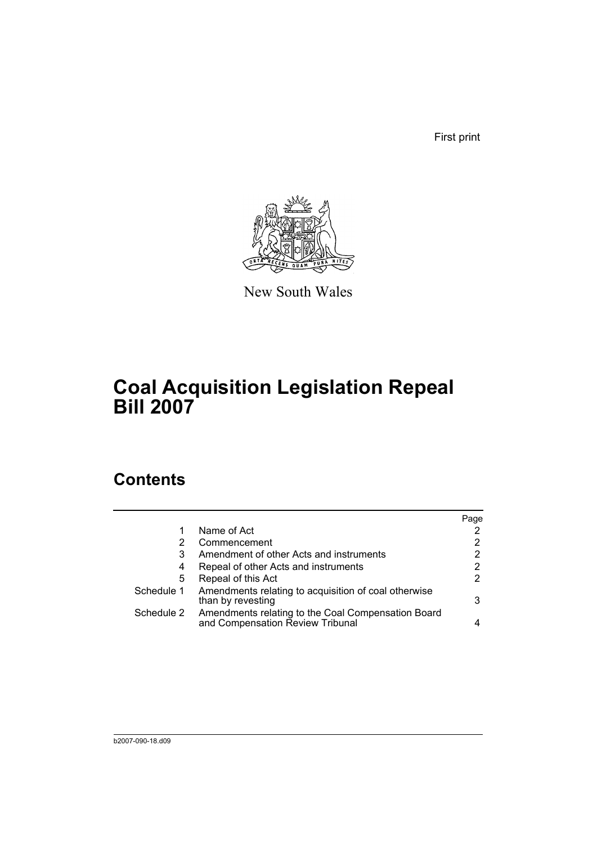First print



New South Wales

# **Coal Acquisition Legislation Repeal Bill 2007**

## **Contents**

|            |                                                                                        | Page |
|------------|----------------------------------------------------------------------------------------|------|
|            | Name of Act                                                                            |      |
| 2          | Commencement                                                                           |      |
| 3          | Amendment of other Acts and instruments                                                | 2    |
| 4          | Repeal of other Acts and instruments                                                   | 2    |
| 5          | Repeal of this Act                                                                     | 2    |
| Schedule 1 | Amendments relating to acquisition of coal otherwise<br>than by revesting              | 3    |
| Schedule 2 | Amendments relating to the Coal Compensation Board<br>and Compensation Review Tribunal |      |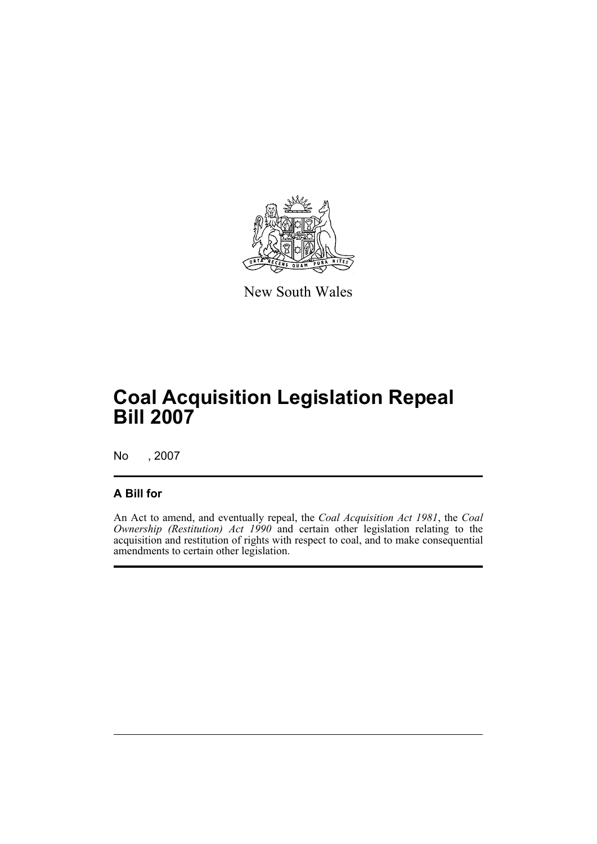

New South Wales

# **Coal Acquisition Legislation Repeal Bill 2007**

No , 2007

## **A Bill for**

An Act to amend, and eventually repeal, the *Coal Acquisition Act 1981*, the *Coal Ownership (Restitution) Act 1990* and certain other legislation relating to the acquisition and restitution of rights with respect to coal, and to make consequential amendments to certain other legislation.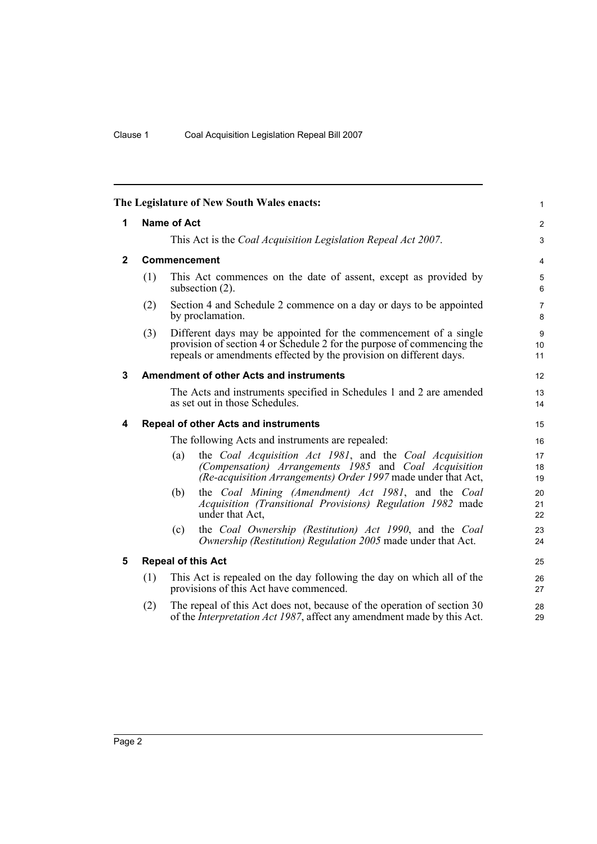<span id="page-7-4"></span><span id="page-7-3"></span><span id="page-7-2"></span><span id="page-7-1"></span><span id="page-7-0"></span>

|              |                                                  |                     | The Legislature of New South Wales enacts:                                                                                                                                                                       | 1              |
|--------------|--------------------------------------------------|---------------------|------------------------------------------------------------------------------------------------------------------------------------------------------------------------------------------------------------------|----------------|
| 1            | <b>Name of Act</b>                               |                     |                                                                                                                                                                                                                  | $\overline{c}$ |
|              |                                                  |                     | This Act is the Coal Acquisition Legislation Repeal Act 2007.                                                                                                                                                    | 3              |
| $\mathbf{2}$ |                                                  | <b>Commencement</b> |                                                                                                                                                                                                                  | 4              |
|              | (1)                                              |                     | This Act commences on the date of assent, except as provided by<br>subsection $(2)$ .                                                                                                                            | 5<br>6         |
|              | (2)                                              |                     | Section 4 and Schedule 2 commence on a day or days to be appointed<br>by proclamation.                                                                                                                           | 7<br>8         |
|              | (3)                                              |                     | Different days may be appointed for the commencement of a single<br>provision of section 4 or Schedule 2 for the purpose of commencing the<br>repeals or amendments effected by the provision on different days. | 9<br>10<br>11  |
| 3            |                                                  |                     | <b>Amendment of other Acts and instruments</b>                                                                                                                                                                   | 12             |
|              |                                                  |                     | The Acts and instruments specified in Schedules 1 and 2 are amended<br>as set out in those Schedules.                                                                                                            | 13<br>14       |
| 4            |                                                  |                     | <b>Repeal of other Acts and instruments</b>                                                                                                                                                                      | 15             |
|              | The following Acts and instruments are repealed: |                     |                                                                                                                                                                                                                  | 16             |
|              |                                                  | (a)                 | the Coal Acquisition Act 1981, and the Coal Acquisition<br>(Compensation) Arrangements 1985 and Coal Acquisition<br>(Re-acquisition Arrangements) Order 1997 made under that Act,                                | 17<br>18<br>19 |
|              |                                                  | (b)                 | the Coal Mining (Amendment) Act 1981, and the Coal<br>Acquisition (Transitional Provisions) Regulation 1982 made<br>under that Act.                                                                              | 20<br>21<br>22 |
|              |                                                  | (c)                 | the Coal Ownership (Restitution) Act 1990, and the Coal<br>Ownership (Restitution) Regulation 2005 made under that Act.                                                                                          | 23<br>24       |
| 5            | <b>Repeal of this Act</b>                        |                     | 25                                                                                                                                                                                                               |                |
|              | (1)                                              |                     | This Act is repealed on the day following the day on which all of the<br>provisions of this Act have commenced.                                                                                                  | 26<br>27       |
|              | (2)                                              |                     | The repeal of this Act does not, because of the operation of section 30<br>of the <i>Interpretation Act 1987</i> , affect any amendment made by this Act.                                                        | 28<br>29       |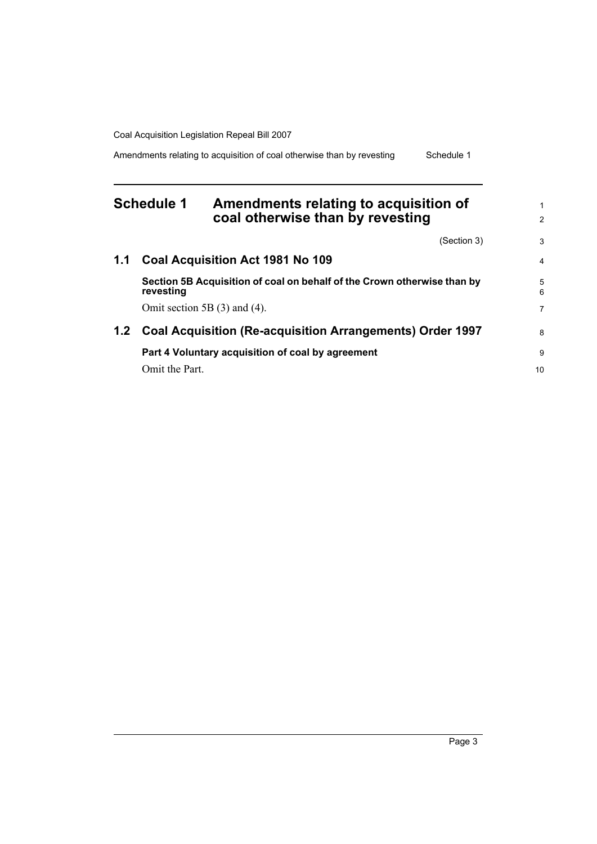Amendments relating to acquisition of coal otherwise than by revesting Schedule 1

## <span id="page-8-0"></span>**Schedule 1 Amendments relating to acquisition of coal otherwise than by revesting**

|     | (Section 3)                                                                          | 3      |  |
|-----|--------------------------------------------------------------------------------------|--------|--|
| 1.1 | Coal Acquisition Act 1981 No 109                                                     | 4      |  |
|     | Section 5B Acquisition of coal on behalf of the Crown otherwise than by<br>revesting | 5<br>6 |  |
|     | Omit section 5B $(3)$ and $(4)$ .                                                    | 7      |  |
| 1.2 | <b>Coal Acquisition (Re-acquisition Arrangements) Order 1997</b>                     |        |  |
|     | Part 4 Voluntary acquisition of coal by agreement                                    | 9      |  |
|     | Omit the Part.                                                                       | 10     |  |

1 2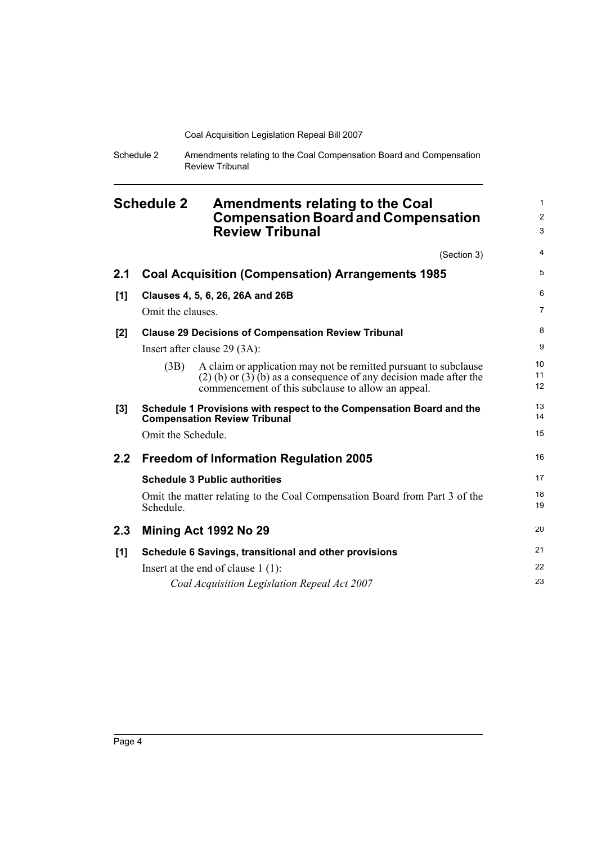| Schedule 2 | Amendments relating to the Coal Compensation Board and Compensation |
|------------|---------------------------------------------------------------------|
|            | <b>Review Tribunal</b>                                              |

<span id="page-9-0"></span>

| <b>Schedule 2</b> |                    | <b>Amendments relating to the Coal</b><br><b>Compensation Board and Compensation</b><br><b>Review Tribunal</b>                                                                                   | 1<br>$\overline{c}$<br>3 |
|-------------------|--------------------|--------------------------------------------------------------------------------------------------------------------------------------------------------------------------------------------------|--------------------------|
|                   |                    | (Section 3)                                                                                                                                                                                      | 4                        |
| 2.1               |                    | <b>Coal Acquisition (Compensation) Arrangements 1985</b>                                                                                                                                         | 5                        |
| [1]               |                    | Clauses 4, 5, 6, 26, 26A and 26B                                                                                                                                                                 | 6                        |
|                   | Omit the clauses.  |                                                                                                                                                                                                  | 7                        |
| [2]               |                    | <b>Clause 29 Decisions of Compensation Review Tribunal</b>                                                                                                                                       | 8                        |
|                   |                    | Insert after clause $29(3A)$ :                                                                                                                                                                   | 9                        |
|                   | (3B)               | A claim or application may not be remitted pursuant to subclause<br>$(2)$ (b) or $(3)$ (b) as a consequence of any decision made after the<br>commencement of this subclause to allow an appeal. | 10<br>11<br>12           |
| [3]               |                    | Schedule 1 Provisions with respect to the Compensation Board and the<br><b>Compensation Review Tribunal</b>                                                                                      | 13<br>14                 |
|                   | Omit the Schedule. |                                                                                                                                                                                                  | 15                       |
| 2.2 <sub>2</sub>  |                    | <b>Freedom of Information Regulation 2005</b>                                                                                                                                                    | 16                       |
|                   |                    | <b>Schedule 3 Public authorities</b>                                                                                                                                                             | 17                       |
|                   | Schedule.          | Omit the matter relating to the Coal Compensation Board from Part 3 of the                                                                                                                       | 18<br>19                 |
| 2.3               |                    | Mining Act 1992 No 29                                                                                                                                                                            | 20                       |
| [1]               |                    | Schedule 6 Savings, transitional and other provisions                                                                                                                                            | 21                       |
|                   |                    | Insert at the end of clause $1(1)$ :                                                                                                                                                             | 22                       |
|                   |                    | Coal Acquisition Legislation Repeal Act 2007                                                                                                                                                     | 23                       |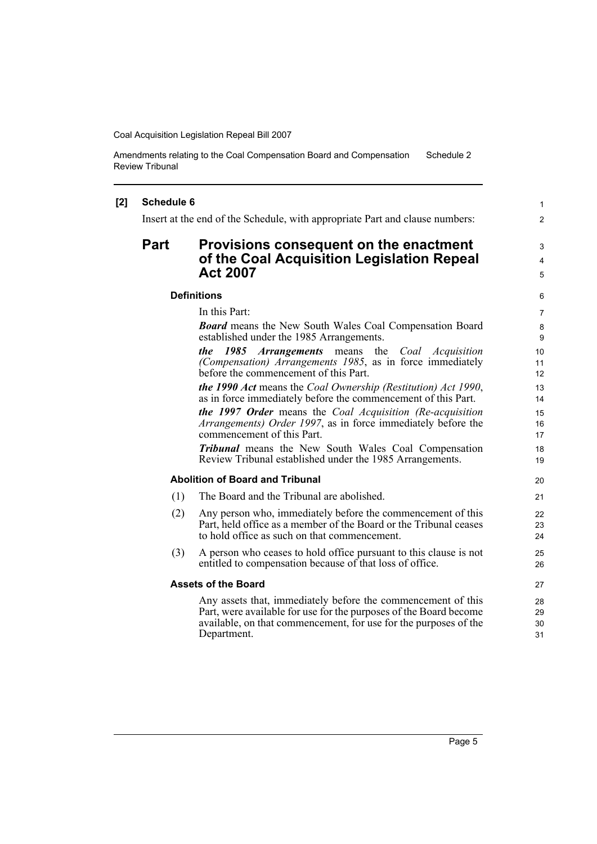Amendments relating to the Coal Compensation Board and Compensation Review Tribunal Schedule 2

### **[2] Schedule 6**

Insert at the end of the Schedule, with appropriate Part and clause numbers:

## **Part Provisions consequent on the enactment of the Coal Acquisition Legislation Repeal Act 2007**

#### **Definitions**

In this Part:

*Board* means the New South Wales Coal Compensation Board established under the 1985 Arrangements.

*the 1985 Arrangements* means the *Coal Acquisition (Compensation) Arrangements 1985*, as in force immediately before the commencement of this Part.

*the 1990 Act* means the *Coal Ownership (Restitution) Act 1990*, as in force immediately before the commencement of this Part.

*the 1997 Order* means the *Coal Acquisition (Re-acquisition Arrangements) Order 1997*, as in force immediately before the commencement of this Part.

*Tribunal* means the New South Wales Coal Compensation Review Tribunal established under the 1985 Arrangements.

### **Abolition of Board and Tribunal**

- (1) The Board and the Tribunal are abolished.
- (2) Any person who, immediately before the commencement of this Part, held office as a member of the Board or the Tribunal ceases to hold office as such on that commencement.
- (3) A person who ceases to hold office pursuant to this clause is not entitled to compensation because of that loss of office.

#### **Assets of the Board**

Any assets that, immediately before the commencement of this Part, were available for use for the purposes of the Board become available, on that commencement, for use for the purposes of the Department.

1 2

3 4 5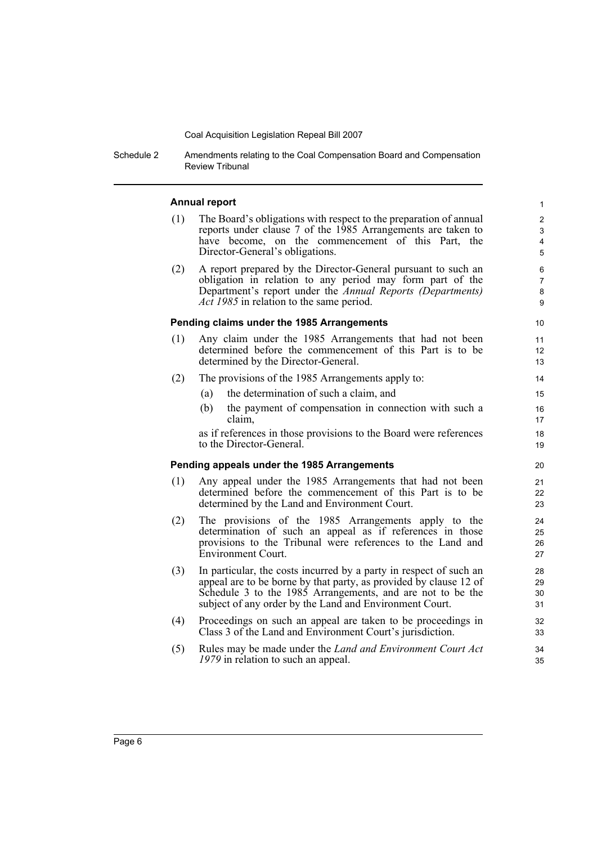Schedule 2 Amendments relating to the Coal Compensation Board and Compensation Review Tribunal

### **Annual report**

(1) The Board's obligations with respect to the preparation of annual reports under clause 7 of the 1985 Arrangements are taken to have become, on the commencement of this Part, the Director-General's obligations.

(2) A report prepared by the Director-General pursuant to such an obligation in relation to any period may form part of the Department's report under the *Annual Reports (Departments) Act 1985* in relation to the same period.

#### **Pending claims under the 1985 Arrangements**

- (1) Any claim under the 1985 Arrangements that had not been determined before the commencement of this Part is to be determined by the Director-General.
- (2) The provisions of the 1985 Arrangements apply to:
	- (a) the determination of such a claim, and
	- (b) the payment of compensation in connection with such a claim,

as if references in those provisions to the Board were references to the Director-General.

### **Pending appeals under the 1985 Arrangements**

- (1) Any appeal under the 1985 Arrangements that had not been determined before the commencement of this Part is to be determined by the Land and Environment Court.
- (2) The provisions of the 1985 Arrangements apply to the determination of such an appeal as if references in those provisions to the Tribunal were references to the Land and Environment Court.
- (3) In particular, the costs incurred by a party in respect of such an appeal are to be borne by that party, as provided by clause 12 of Schedule 3 to the 1985 Arrangements, and are not to be the subject of any order by the Land and Environment Court.
- (4) Proceedings on such an appeal are taken to be proceedings in Class 3 of the Land and Environment Court's jurisdiction.
- (5) Rules may be made under the *Land and Environment Court Act 1979* in relation to such an appeal.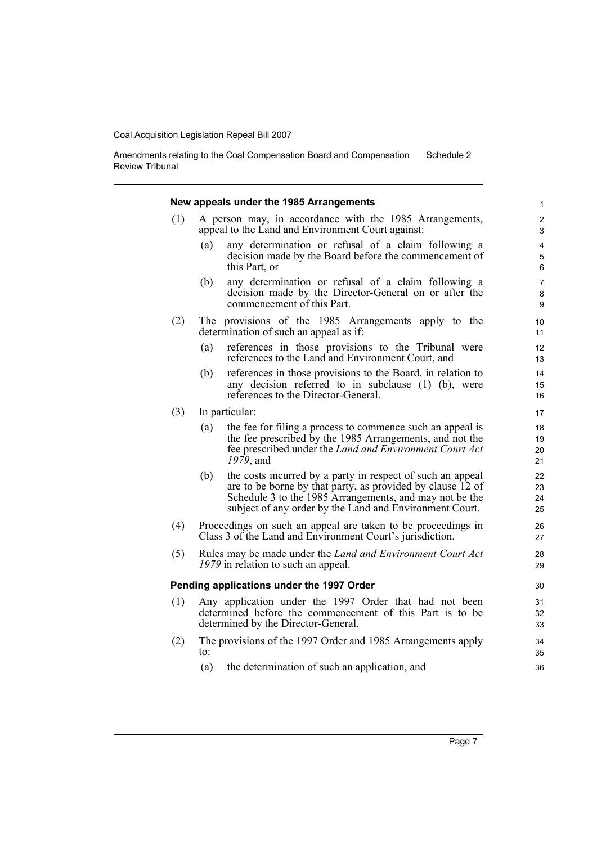Amendments relating to the Coal Compensation Board and Compensation Review Tribunal Schedule 2

|     | New appeals under the 1985 Arrangements                                                                                                                                                                                                               |                      |
|-----|-------------------------------------------------------------------------------------------------------------------------------------------------------------------------------------------------------------------------------------------------------|----------------------|
| (1) | A person may, in accordance with the 1985 Arrangements,<br>appeal to the Land and Environment Court against:                                                                                                                                          |                      |
|     | (a)<br>any determination or refusal of a claim following a<br>decision made by the Board before the commencement of<br>this Part, or                                                                                                                  |                      |
|     | any determination or refusal of a claim following a<br>(b)<br>decision made by the Director-General on or after the<br>commencement of this Part.                                                                                                     |                      |
| (2) | The provisions of the 1985 Arrangements apply to the<br>determination of such an appeal as if:                                                                                                                                                        |                      |
|     | references in those provisions to the Tribunal were<br>(a)<br>references to the Land and Environment Court, and                                                                                                                                       | 12<br>13             |
|     | references in those provisions to the Board, in relation to<br>(b)<br>any decision referred to in subclause (1) (b), were<br>references to the Director-General.                                                                                      | 14<br>15<br>16       |
| (3) | In particular:                                                                                                                                                                                                                                        | 17                   |
|     | the fee for filing a process to commence such an appeal is<br>(a)<br>the fee prescribed by the 1985 Arrangements, and not the<br>fee prescribed under the Land and Environment Court Act<br>$1979$ , and                                              | 18<br>19<br>20<br>21 |
|     | the costs incurred by a party in respect of such an appeal<br>(b)<br>are to be borne by that party, as provided by clause 12 of<br>Schedule 3 to the 1985 Arrangements, and may not be the<br>subject of any order by the Land and Environment Court. | 22<br>23<br>24<br>25 |
| (4) | Proceedings on such an appeal are taken to be proceedings in<br>Class 3 of the Land and Environment Court's jurisdiction.                                                                                                                             | 26<br>27             |
| (5) | Rules may be made under the <i>Land and Environment Court Act</i><br>1979 in relation to such an appeal.                                                                                                                                              | 28                   |
|     | Pending applications under the 1997 Order                                                                                                                                                                                                             | 30                   |
| (1) | Any application under the 1997 Order that had not been<br>determined before the commencement of this Part is to be<br>determined by the Director-General.                                                                                             | 31<br>33             |
| (2) | The provisions of the 1997 Order and 1985 Arrangements apply<br>to:                                                                                                                                                                                   |                      |
|     | the determination of such an application, and<br>(a)                                                                                                                                                                                                  |                      |
|     |                                                                                                                                                                                                                                                       |                      |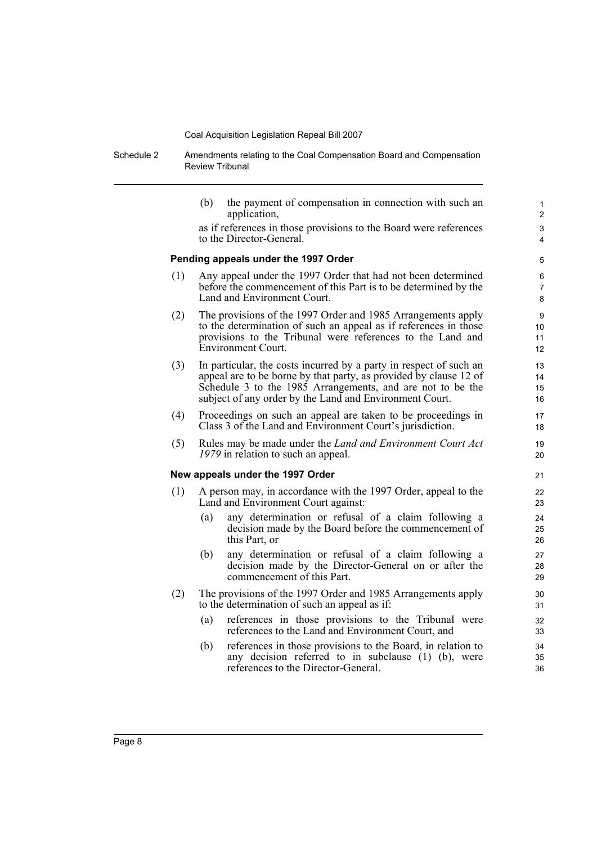Schedule 2 Amendments relating to the Coal Compensation Board and Compensation Review Tribunal

> (b) the payment of compensation in connection with such an application, as if references in those provisions to the Board were references to the Director-General. **Pending appeals under the 1997 Order** (1) Any appeal under the 1997 Order that had not been determined before the commencement of this Part is to be determined by the Land and Environment Court. (2) The provisions of the 1997 Order and 1985 Arrangements apply to the determination of such an appeal as if references in those provisions to the Tribunal were references to the Land and Environment Court. (3) In particular, the costs incurred by a party in respect of such an appeal are to be borne by that party, as provided by clause 12 of Schedule 3 to the 1985 Arrangements, and are not to be the subject of any order by the Land and Environment Court. (4) Proceedings on such an appeal are taken to be proceedings in Class 3 of the Land and Environment Court's jurisdiction. (5) Rules may be made under the *Land and Environment Court Act 1979* in relation to such an appeal. **New appeals under the 1997 Order** (1) A person may, in accordance with the 1997 Order, appeal to the Land and Environment Court against: (a) any determination or refusal of a claim following a decision made by the Board before the commencement of this Part, or (b) any determination or refusal of a claim following a decision made by the Director-General on or after the commencement of this Part. 10 11 12 13 14 15 16 17 18 19 20 21 22 23 24 25 26 27 28 29 30

- (2) The provisions of the 1997 Order and 1985 Arrangements apply to the determination of such an appeal as if:
	- (a) references in those provisions to the Tribunal were references to the Land and Environment Court, and
	- (b) references in those provisions to the Board, in relation to any decision referred to in subclause (1) (b), were references to the Director-General.